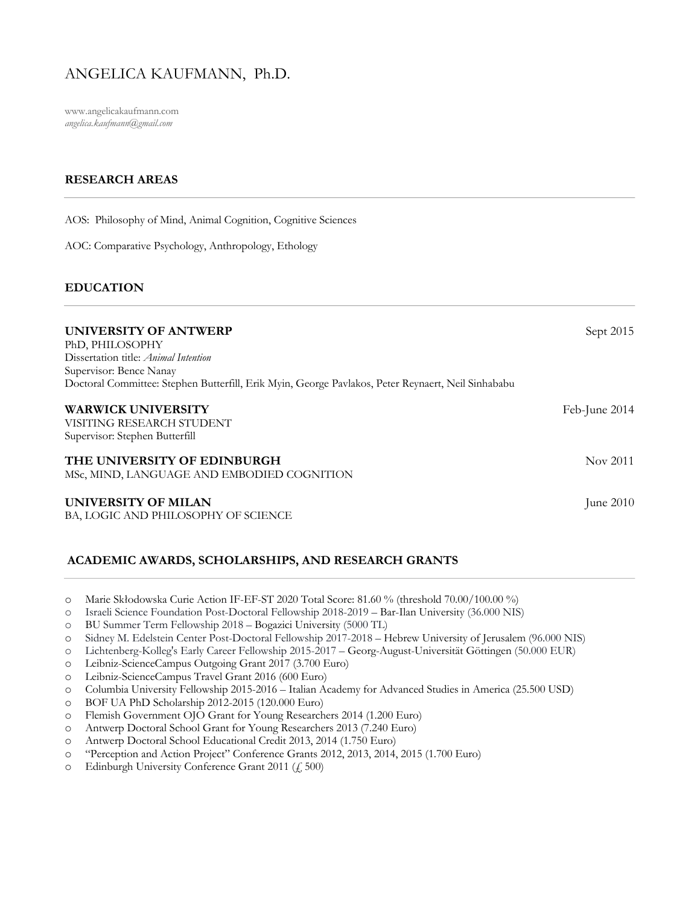# ANGELICA KAUFMANN, Ph.D.

www.angelicakaufmann.com *angelica.kaufmann@gmail.com* 

# **RESEARCH AREAS**

AOS: Philosophy of Mind, Animal Cognition, Cognitive Sciences

AOC: Comparative Psychology, Anthropology, Ethology

### **EDUCATION**

| UNIVERSITY OF ANTWERP<br>PhD, PHILOSOPHY<br>Dissertation title: Animal Intention                                              | Sept 2015     |
|-------------------------------------------------------------------------------------------------------------------------------|---------------|
| Supervisor: Bence Nanay<br>Doctoral Committee: Stephen Butterfill, Erik Myin, George Pavlakos, Peter Reynaert, Neil Sinhababu |               |
| <b>WARWICK UNIVERSITY</b><br>VISITING RESEARCH STUDENT<br>Supervisor: Stephen Butterfill                                      | Feb-June 2014 |
| THE UNIVERSITY OF EDINBURGH<br>MSc, MIND, LANGUAGE AND EMBODIED COGNITION                                                     | Nov 2011      |
| UNIVERSITY OF MILAN<br>BA, LOGIC AND PHILOSOPHY OF SCIENCE                                                                    | June $2010$   |

# **ACADEMIC AWARDS, SCHOLARSHIPS, AND RESEARCH GRANTS**

- o Marie Skłodowska Curie Action IF-EF-ST 2020 Total Score: 81.60 % (threshold 70.00/100.00 %)
- o Israeli Science Foundation Post-Doctoral Fellowship 2018-2019 Bar-Ilan University (36.000 NIS)
- o BU Summer Term Fellowship 2018 Bogazici University (5000 TL)
- o Sidney M. Edelstein Center Post-Doctoral Fellowship 2017-2018 Hebrew University of Jerusalem (96.000 NIS)
- o Lichtenberg-Kolleg's Early Career Fellowship 2015-2017 Georg-August-Universität Göttingen (50.000 EUR)
- o Leibniz-ScienceCampus Outgoing Grant 2017 (3.700 Euro)
- o Leibniz-ScienceCampus Travel Grant 2016 (600 Euro)
- o Columbia University Fellowship 2015-2016 Italian Academy for Advanced Studies in America (25.500 USD)
- o BOF UA PhD Scholarship 2012-2015 (120.000 Euro)
- o Flemish Government OJO Grant for Young Researchers 2014 (1.200 Euro)
- o Antwerp Doctoral School Grant for Young Researchers 2013 (7.240 Euro)
- o Antwerp Doctoral School Educational Credit 2013, 2014 (1.750 Euro)
- o "Perception and Action Project" Conference Grants 2012, 2013, 2014, 2015 (1.700 Euro)
- o Edinburgh University Conference Grant 2011 (£ 500)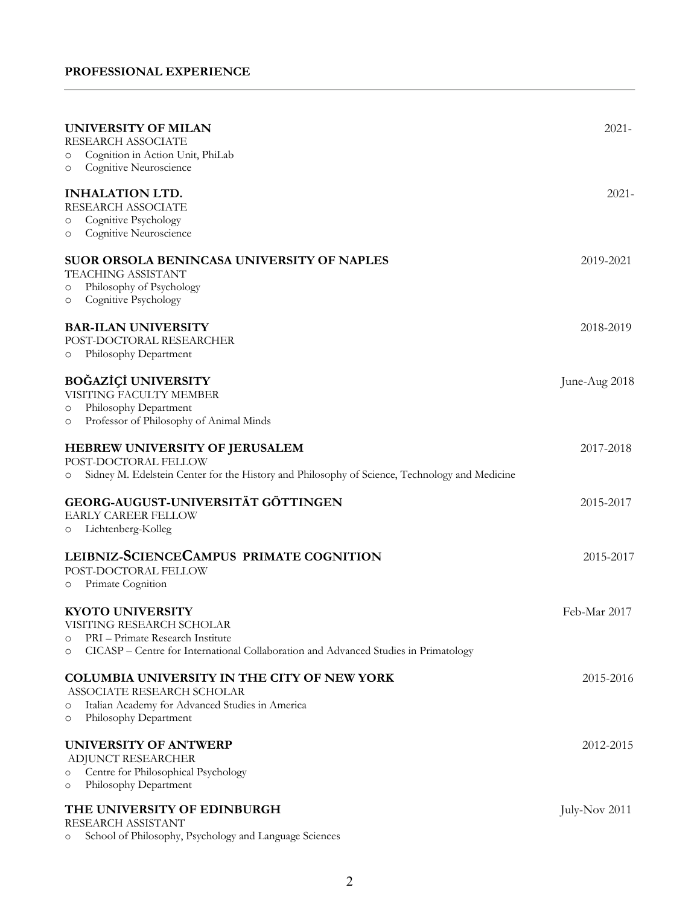| <b>UNIVERSITY OF MILAN</b><br>RESEARCH ASSOCIATE<br>Cognition in Action Unit, PhiLab<br>$\circ$<br>Cognitive Neuroscience<br>O                                                                        | $2021 -$      |
|-------------------------------------------------------------------------------------------------------------------------------------------------------------------------------------------------------|---------------|
| <b>INHALATION LTD.</b><br>RESEARCH ASSOCIATE<br>Cognitive Psychology<br>$\circ$<br>Cognitive Neuroscience<br>$\circ$                                                                                  | $2021 -$      |
| <b>SUOR ORSOLA BENINCASA UNIVERSITY OF NAPLES</b><br>TEACHING ASSISTANT<br>Philosophy of Psychology<br>$\circ$<br>Cognitive Psychology<br>$\circ$                                                     | 2019-2021     |
| <b>BAR-ILAN UNIVERSITY</b><br>POST-DOCTORAL RESEARCHER<br>Philosophy Department<br>O                                                                                                                  | 2018-2019     |
| <b>BOĞAZİÇİ UNIVERSITY</b><br>VISITING FACULTY MEMBER<br>Philosophy Department<br>O<br>Professor of Philosophy of Animal Minds<br>$\circ$                                                             | June-Aug 2018 |
| <b>HEBREW UNIVERSITY OF JERUSALEM</b><br>POST-DOCTORAL FELLOW<br>Sidney M. Edelstein Center for the History and Philosophy of Science, Technology and Medicine<br>$\circ$                             | 2017-2018     |
| GEORG-AUGUST-UNIVERSITÄT GÖTTINGEN<br><b>EARLY CAREER FELLOW</b><br>Lichtenberg-Kolleg<br>O                                                                                                           | 2015-2017     |
| LEIBNIZ-SCIENCECAMPUS PRIMATE COGNITION<br>POST-DOCTORAL FELLOW<br>Primate Cognition<br>$\circ$                                                                                                       | 2015-2017     |
| <b>KYOTO UNIVERSITY</b><br>VISITING RESEARCH SCHOLAR<br>PRI - Primate Research Institute<br>$\circ$<br>CICASP – Centre for International Collaboration and Advanced Studies in Primatology<br>$\circ$ | Feb-Mar 2017  |
| <b>COLUMBIA UNIVERSITY IN THE CITY OF NEW YORK</b><br>ASSOCIATE RESEARCH SCHOLAR<br>Italian Academy for Advanced Studies in America<br>$\circ$<br>Philosophy Department<br>$\circ$                    | 2015-2016     |
| <b>UNIVERSITY OF ANTWERP</b><br>ADJUNCT RESEARCHER<br>Centre for Philosophical Psychology<br>$\circ$<br>Philosophy Department<br>$\circ$                                                              | 2012-2015     |
| THE UNIVERSITY OF EDINBURGH<br>RESEARCH ASSISTANT<br>School of Philosophy, Psychology and Language Sciences<br>$\circ$                                                                                | July-Nov 2011 |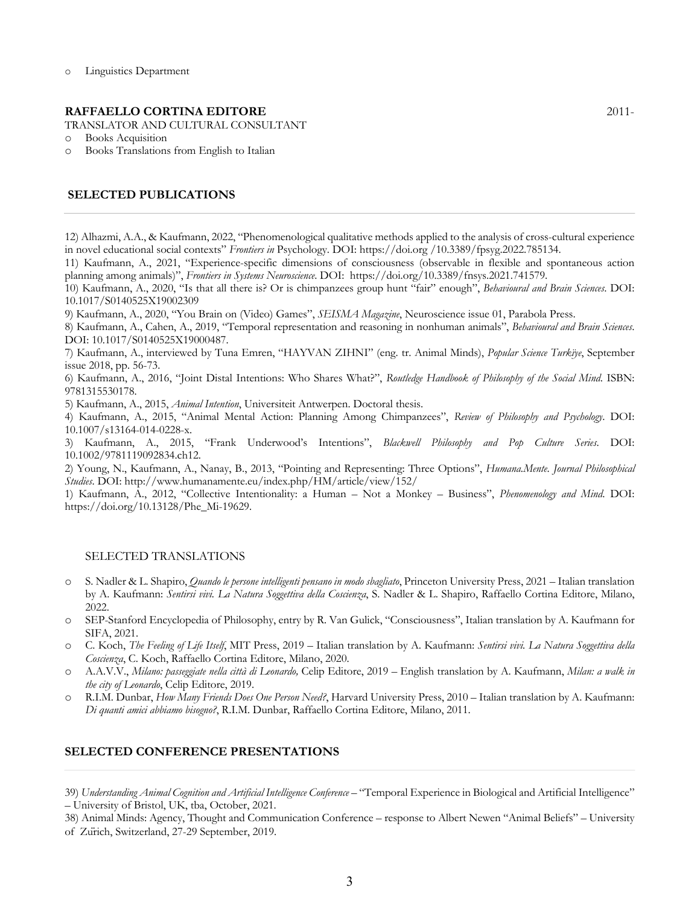#### **RAFFAELLO CORTINA EDITORE** 2011-

TRANSLATOR AND CULTURAL CONSULTANT

- o Books Acquisition
- o Books Translations from English to Italian

### **SELECTED PUBLICATIONS**

12) Alhazmi, A.A., & Kaufmann, 2022, "Phenomenological qualitative methods applied to the analysis of cross-cultural experience in novel educational social contexts" *Frontiers in* Psychology. DOI: https://doi.org /10.3389/fpsyg.2022.785134.

11) Kaufmann, A., 2021, "Experience-specific dimensions of consciousness (observable in flexible and spontaneous action planning among animals)", *Frontiers in Systems Neuroscience*. DOI: https://doi.org/10.3389/fnsys.2021.741579.

10) Kaufmann, A., 2020, "Is that all there is? Or is chimpanzees group hunt "fair" enough", *Behavioural and Brain Sciences*. DOI: 10.1017/S0140525X19002309

9) Kaufmann, A., 2020, "You Brain on (Video) Games", *SEISMA Magazine*, Neuroscience issue 01, Parabola Press.

8) Kaufmann, A., Cahen, A., 2019, "Temporal representation and reasoning in nonhuman animals", *Behavioural and Brain Sciences*. DOI: 10.1017/S0140525X19000487.

7) Kaufmann, A., interviewed by Tuna Emren, "HAYVAN ZIHNI" (eng. tr. Animal Minds), *Popular Science Turkïye*, September issue 2018, pp. 56-73.

6) Kaufmann, A., 2016, "Joint Distal Intentions: Who Shares What?", *Routledge Handbook of Philosophy of the Social Mind*. ISBN: 9781315530178.

5) Kaufmann, A., 2015, *Animal Intention*, Universiteit Antwerpen. Doctoral thesis.

4) Kaufmann, A., 2015, "Animal Mental Action: Planning Among Chimpanzees", *Review of Philosophy and Psychology*. DOI: 10.1007/s13164-014-0228-x.

3) Kaufmann, A., 2015, "Frank Underwood's Intentions", *Blackwell Philosophy and Pop Culture Series*. DOI: 10.1002/9781119092834.ch12.

2) Young, N., Kaufmann, A., Nanay, B., 2013, "Pointing and Representing: Three Options", *Humana.Mente. Journal Philosophical Studies*. DOI: http://www.humanamente.eu/index.php/HM/article/view/152/

1) Kaufmann, A., 2012, "Collective Intentionality: a Human – Not a Monkey – Business", *Phenomenology and Mind*. DOI: https://doi.org/10.13128/Phe\_Mi-19629.

#### SELECTED TRANSLATIONS

- o S. Nadler & L. Shapiro, *Quando le persone intelligenti pensano in modo sbagliato*, Princeton University Press, 2021 Italian translation by A. Kaufmann: *Sentirsi vivi. La Natura Soggettiva della Coscienza*, S. Nadler & L. Shapiro, Raffaello Cortina Editore, Milano, 2022.
- o SEP-Stanford Encyclopedia of Philosophy, entry by R. Van Gulick, "Consciousness", Italian translation by A. Kaufmann for SIFA, 2021.
- o C. Koch, *The Feeling of Life Itself*, MIT Press, 2019 Italian translation by A. Kaufmann: *Sentirsi vivi. La Natura Soggettiva della Coscienza*, C. Koch, Raffaello Cortina Editore, Milano, 2020.
- o A.A.V.V., *Milano: passeggiate nella città di Leonardo,* Celip Editore, 2019 English translation by A. Kaufmann, *Milan: a walk in the city of Leonardo*, Celip Editore, 2019.
- o R.I.M. Dunbar, *How Many Friends Does One Person Need?*, Harvard University Press, 2010 Italian translation by A. Kaufmann: *Di quanti amici abbiamo bisogno?*, R.I.M. Dunbar, Raffaello Cortina Editore, Milano, 2011.

### **SELECTED CONFERENCE PRESENTATIONS**

39) *Understanding Animal Cognition and Artificial Intelligence Conference* – "Temporal Experience in Biological and Artificial Intelligence" – University of Bristol, UK, tba, October, 2021.

38) Animal Minds: Agency, Thought and Communication Conference – response to Albert Newen "Animal Beliefs" – University of Zürich, Switzerland, 27-29 September, 2019.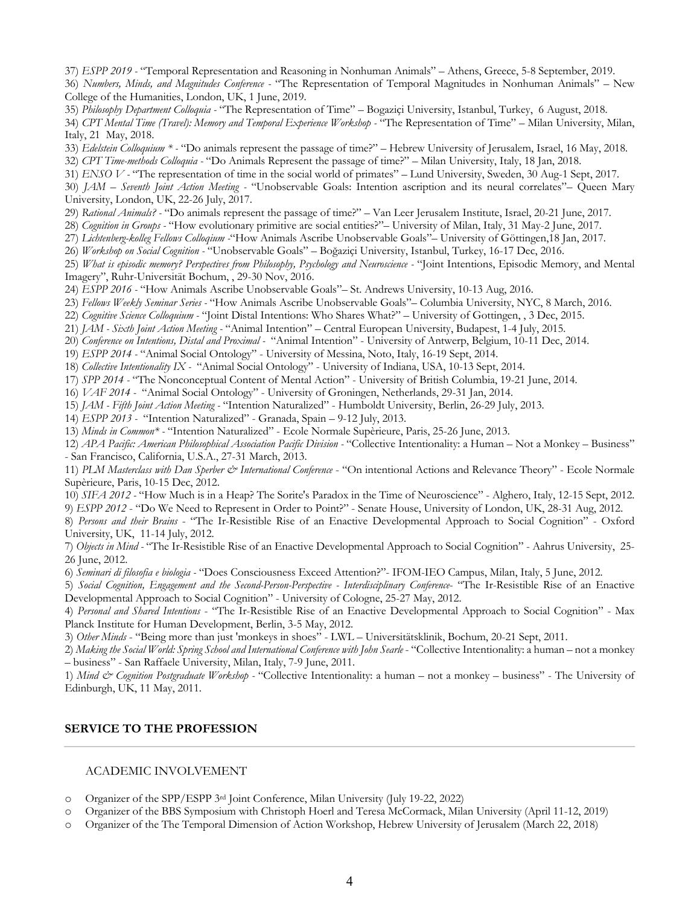37) *ESPP 2019 -* "Temporal Representation and Reasoning in Nonhuman Animals" – Athens, Greece, 5-8 September, 2019. 36) *Numbers, Minds, and Magnitudes Conference -* "The Representation of Temporal Magnitudes in Nonhuman Animals" – New College of the Humanities, London, UK, 1 June, 2019.

35) *Philosophy Department Colloquia -* "The Representation of Time" – Bogaziçi University, Istanbul, Turkey, 6 August, 2018. 34) *CPT Mental Time (Travel): Memory and Temporal Experience Workshop -* "The Representation of Time" – Milan University, Milan, Italy, 21 May, 2018.

33) *Edelstein Colloquium \* -* "Do animals represent the passage of time?" – Hebrew University of Jerusalem, Israel, 16 May, 2018.

32) *CPT Time-methods Colloquia -* "Do Animals Represent the passage of time?" – Milan University, Italy, 18 Jan, 2018.

31) *ENSO V -* "The representation of time in the social world of primates" – Lund University, Sweden, 30 Aug-1 Sept, 2017.

30) *JAM – Seventh Joint Action Meeting -* "Unobservable Goals: Intention ascription and its neural correlates"– Queen Mary University, London, UK, 22-26 July, 2017.

29) *Rational Animals? -* "Do animals represent the passage of time?" – Van Leer Jerusalem Institute, Israel, 20-21 June, 2017.

28) *Cognition in Groups -* "How evolutionary primitive are social entities?"– University of Milan, Italy, 31 May-2 June, 2017.

27) *Lichtenberg-kolleg Fellows Colloqium -*"How Animals Ascribe Unobservable Goals"– University of Göttingen,18 Jan, 2017.

26) *Workshop on Social Cognition -* "Unobservable Goals" – Boğaziçi University, Istanbul, Turkey, 16-17 Dec, 2016.

25) *What is episodic memory? Perspectives from Philosophy, Psychology and Neuroscience -* "Joint Intentions, Episodic Memory, and Mental Imagery", Ruhr-Universität Bochum, , 29-30 Nov, 2016.

24) *ESPP 2016 -* "How Animals Ascribe Unobservable Goals"– St. Andrews University, 10-13 Aug, 2016.

23) *Fellows Weekly Seminar Series -* "How Animals Ascribe Unobservable Goals"– Columbia University, NYC, 8 March, 2016.

22) *Cognitive Science Colloquium -* "Joint Distal Intentions: Who Shares What?" – University of Gottingen, , 3 Dec, 2015.

21) *JAM - Sixth Joint Action Meeting -* "Animal Intention" – Central European University, Budapest, 1-4 July, 2015.

20) *Conference on Intentions, Distal and Proximal -* "Animal Intention" - University of Antwerp, Belgium, 10-11 Dec, 2014.

19) *ESPP 2014 -* "Animal Social Ontology" - University of Messina, Noto, Italy, 16-19 Sept, 2014.

18) *Collective Intentionality IX -* "Animal Social Ontology" - University of Indiana, USA, 10-13 Sept, 2014.

17) *SPP 2014 -* "The Nonconceptual Content of Mental Action" - University of British Columbia, 19-21 June, 2014.

16) *VAF 2014 -* "Animal Social Ontology" - University of Groningen, Netherlands, 29-31 Jan, 2014.

15) *JAM - Fifth Joint Action Meeting -* "Intention Naturalized" - Humboldt University, Berlin, 26-29 July, 2013.

14) *ESPP 2013 -* "Intention Naturalized" - Granada, Spain – 9-12 July, 2013.

13) *Minds in Common\* -* "Intention Naturalized" - Ecole Normale Supèrieure, Paris, 25-26 June, 2013.

12) *APA Pacific: American Philosophical Association Pacific Division -* "Collective Intentionality: a Human – Not a Monkey – Business" - San Francisco, California, U.S.A., 27-31 March, 2013.

11) *PLM Masterclass with Dan Sperber & International Conference* - "On intentional Actions and Relevance Theory" - Ecole Normale Supèrieure, Paris, 10-15 Dec, 2012.

10) *SIFA 2012 -* "How Much is in a Heap? The Sorite's Paradox in the Time of Neuroscience" - Alghero, Italy, 12-15 Sept, 2012.

9) *ESPP 2012* - "Do We Need to Represent in Order to Point?" - Senate House, University of London, UK, 28-31 Aug, 2012.

8) *Persons and their Brains* - "The Ir-Resistible Rise of an Enactive Developmental Approach to Social Cognition" - Oxford University, UK, 11-14 July, 2012.

7) *Objects in Mind -* "The Ir-Resistible Rise of an Enactive Developmental Approach to Social Cognition" - Aahrus University, 25- 26 June, 2012.

6) *Seminari di filosofia e biologia -* "Does Consciousness Exceed Attention?"- IFOM-IEO Campus, Milan, Italy, 5 June, 2012.

5) *Social Cognition, Engagement and the Second-Person-Perspective - Interdisciplinary Conference*- "The Ir-Resistible Rise of an Enactive Developmental Approach to Social Cognition" - University of Cologne, 25-27 May, 2012.

4) *Personal and Shared Intentions* - "The Ir-Resistible Rise of an Enactive Developmental Approach to Social Cognition" - Max Planck Institute for Human Development, Berlin, 3-5 May, 2012.

3) *Other Minds* - "Being more than just 'monkeys in shoes" - LWL – Universitätsklinik, Bochum, 20-21 Sept, 2011.

2) *Making the Social World: Spring School and International Conference with John Searle* - "Collective Intentionality: a human – not a monkey – business" - San Raffaele University, Milan, Italy, 7-9 June, 2011.

1) *Mind & Cognition Postgraduate Workshop -* "Collective Intentionality: a human – not a monkey – business" - The University of Edinburgh, UK, 11 May, 2011.

# **SERVICE TO THE PROFESSION**

### ACADEMIC INVOLVEMENT

o Organizer of the SPP/ESPP 3rd Joint Conference, Milan University (July 19-22, 2022)

o Organizer of the BBS Symposium with Christoph Hoerl and Teresa McCormack, Milan University (April 11-12, 2019)

o Organizer of the The Temporal Dimension of Action Workshop, Hebrew University of Jerusalem (March 22, 2018)